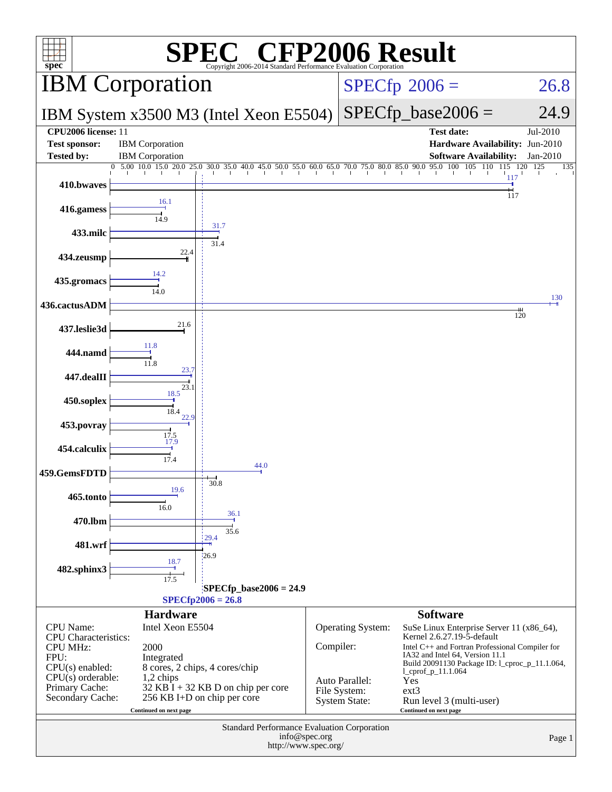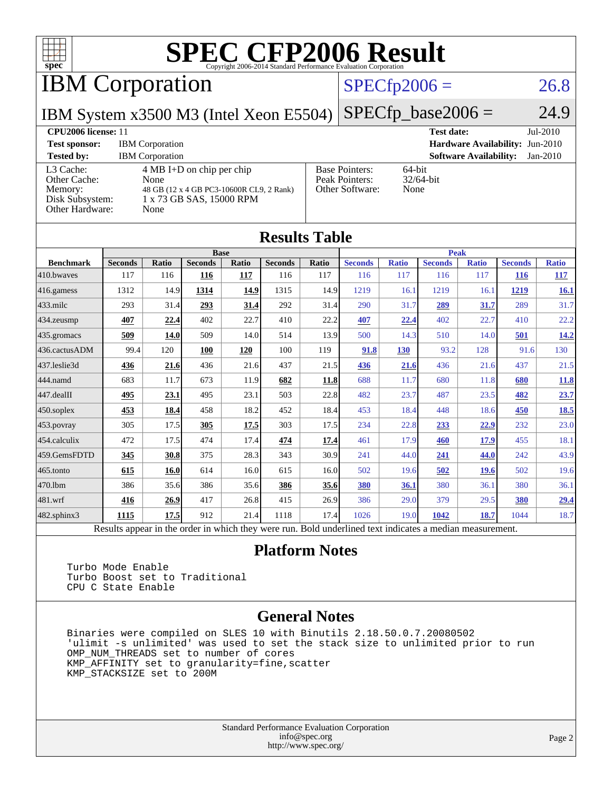

IBM Corporation

### $SPECfp2006 = 26.8$  $SPECfp2006 = 26.8$

IBM System x3500 M3 (Intel Xeon E5504)

 $SPECTp\_base2006 = 24.9$ 

#### **[CPU2006 license:](http://www.spec.org/auto/cpu2006/Docs/result-fields.html#CPU2006license)** 11 **[Test date:](http://www.spec.org/auto/cpu2006/Docs/result-fields.html#Testdate)** Jul-2010 **[Test sponsor:](http://www.spec.org/auto/cpu2006/Docs/result-fields.html#Testsponsor)** IBM Corporation **[Hardware Availability:](http://www.spec.org/auto/cpu2006/Docs/result-fields.html#HardwareAvailability)** Jun-2010 **[Tested by:](http://www.spec.org/auto/cpu2006/Docs/result-fields.html#Testedby)** IBM Corporation **[Software Availability:](http://www.spec.org/auto/cpu2006/Docs/result-fields.html#SoftwareAvailability)** Jan-2010 [L3 Cache:](http://www.spec.org/auto/cpu2006/Docs/result-fields.html#L3Cache) 4 MB I+D on chip per chip [Other Cache:](http://www.spec.org/auto/cpu2006/Docs/result-fields.html#OtherCache) [Memory:](http://www.spec.org/auto/cpu2006/Docs/result-fields.html#Memory) 48 GB (12 x 4 GB PC3-10600R CL9, 2 Rank) [Disk Subsystem:](http://www.spec.org/auto/cpu2006/Docs/result-fields.html#DiskSubsystem) 1 x 73 GB SAS, 15000 RPM [Other Hardware:](http://www.spec.org/auto/cpu2006/Docs/result-fields.html#OtherHardware) None [Base Pointers:](http://www.spec.org/auto/cpu2006/Docs/result-fields.html#BasePointers) 64-bit<br>Peak Pointers: 32/64-bit [Peak Pointers:](http://www.spec.org/auto/cpu2006/Docs/result-fields.html#PeakPointers) [Other Software:](http://www.spec.org/auto/cpu2006/Docs/result-fields.html#OtherSoftware) None

| <b>Results Table</b>   |                                                                                                          |       |                |       |                |       |                |              |                |              |                |              |
|------------------------|----------------------------------------------------------------------------------------------------------|-------|----------------|-------|----------------|-------|----------------|--------------|----------------|--------------|----------------|--------------|
|                        | <b>Base</b>                                                                                              |       |                |       |                |       | <b>Peak</b>    |              |                |              |                |              |
| <b>Benchmark</b>       | <b>Seconds</b>                                                                                           | Ratio | <b>Seconds</b> | Ratio | <b>Seconds</b> | Ratio | <b>Seconds</b> | <b>Ratio</b> | <b>Seconds</b> | <b>Ratio</b> | <b>Seconds</b> | <b>Ratio</b> |
| 410.bwayes             | 117                                                                                                      | 116   | 116            | 117   | 116            | 117   | 116            | 117          | 116            | 117          | <b>116</b>     | <u> 117</u>  |
| 416.gamess             | 1312                                                                                                     | 14.9  | 1314           | 14.9  | 1315           | 14.9  | 1219           | 16.1         | 1219           | 16.1         | 1219           | 16.1         |
| $433$ .milc            | 293                                                                                                      | 31.4  | 293            | 31.4  | 292            | 31.4  | 290            | 31.7         | 289            | 31.7         | 289            | 31.7         |
| $434$ . zeusmp         | 407                                                                                                      | 22.4  | 402            | 22.7  | 410            | 22.2  | 407            | 22.4         | 402            | 22.7         | 410            | 22.2         |
| $435.$ gromacs         | 509                                                                                                      | 14.0  | 509            | 14.0  | 514            | 13.9  | 500            | 14.3         | 510            | 14.0         | 501            | 14.2         |
| 436.cactusADM          | 99.4                                                                                                     | 120   | 100            | 120   | 100            | 119   | 91.8           | 130          | 93.2           | 128          | 91.6           | 130          |
| 437.leslie3d           | 436                                                                                                      | 21.6  | 436            | 21.6  | 437            | 21.5  | 436            | 21.6         | 436            | 21.6         | 437            | 21.5         |
| 444.namd               | 683                                                                                                      | 11.7  | 673            | 11.9  | 682            | 11.8  | 688            | 11.7         | 680            | 11.8         | 680            | 11.8         |
| $ 447 \text{.}$ dealII | 495                                                                                                      | 23.1  | 495            | 23.1  | 503            | 22.8  | 482            | 23.7         | 487            | 23.5         | 482            | 23.7         |
| $450$ .soplex          | 453                                                                                                      | 18.4  | 458            | 18.2  | 452            | 18.4  | 453            | 18.4         | 448            | 18.6         | 450            | <b>18.5</b>  |
| $453$ .povray          | 305                                                                                                      | 17.5  | 305            | 17.5  | 303            | 17.5  | 234            | 22.8         | 233            | 22.9         | 232            | 23.0         |
| $ 454$ .calculix       | 472                                                                                                      | 17.5  | 474            | 17.4  | 474            | 17.4  | 461            | 17.9         | 460            | 17.9         | 455            | 18.1         |
| 459.GemsFDTD           | 345                                                                                                      | 30.8  | 375            | 28.3  | 343            | 30.9  | 241            | 44.0         | 241            | 44.0         | 242            | 43.9         |
| $465$ .tonto           | 615                                                                                                      | 16.0  | 614            | 16.0  | 615            | 16.0  | 502            | 19.6         | 502            | <b>19.6</b>  | 502            | 19.6         |
| 470.1bm                | 386                                                                                                      | 35.6  | 386            | 35.6  | 386            | 35.6  | <b>380</b>     | 36.1         | 380            | 36.1         | 380            | 36.1         |
| $ 481$ .wrf            | 416                                                                                                      | 26.9  | 417            | 26.8  | 415            | 26.9  | 386            | 29.0         | 379            | 29.5         | 380            | 29.4         |
| $482$ .sphinx $3$      | 1115                                                                                                     | 17.5  | 912            | 21.4  | 1118           | 17.4  | 1026           | 19.0         | 1042           | 18.7         | 1044           | 18.7         |
|                        | Results appear in the order in which they were run. Bold underlined text indicates a median measurement. |       |                |       |                |       |                |              |                |              |                |              |

#### **[Platform Notes](http://www.spec.org/auto/cpu2006/Docs/result-fields.html#PlatformNotes)**

 Turbo Mode Enable Turbo Boost set to Traditional CPU C State Enable

#### **[General Notes](http://www.spec.org/auto/cpu2006/Docs/result-fields.html#GeneralNotes)**

 Binaries were compiled on SLES 10 with Binutils 2.18.50.0.7.20080502 'ulimit -s unlimited' was used to set the stack size to unlimited prior to run OMP\_NUM\_THREADS set to number of cores KMP\_AFFINITY set to granularity=fine,scatter KMP\_STACKSIZE set to 200M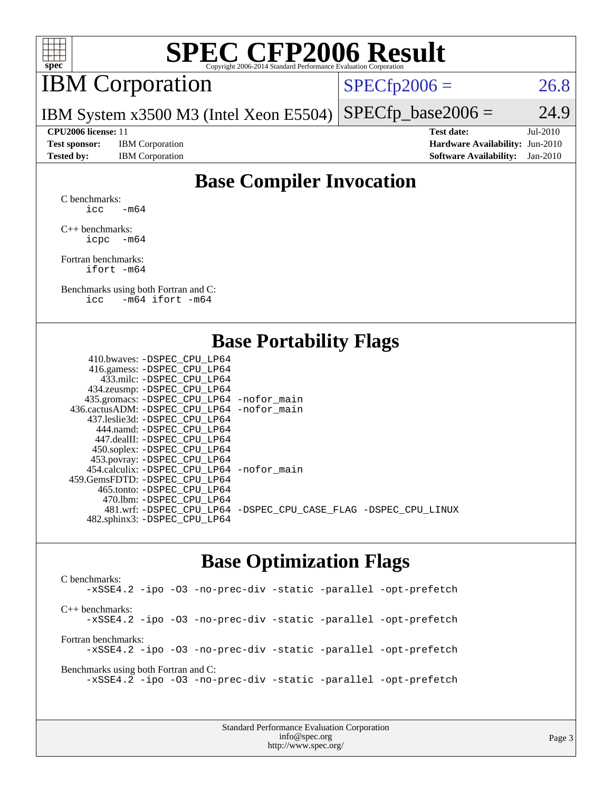

## IBM Corporation

 $SPECTp2006 = 26.8$ 

IBM System x3500 M3 (Intel Xeon E5504)  $SPECfp\_base2006 = 24.9$ 

**[Test sponsor:](http://www.spec.org/auto/cpu2006/Docs/result-fields.html#Testsponsor)** IBM Corporation **[Hardware Availability:](http://www.spec.org/auto/cpu2006/Docs/result-fields.html#HardwareAvailability)** Jun-2010

**[CPU2006 license:](http://www.spec.org/auto/cpu2006/Docs/result-fields.html#CPU2006license)** 11 **[Test date:](http://www.spec.org/auto/cpu2006/Docs/result-fields.html#Testdate)** Jul-2010 **[Tested by:](http://www.spec.org/auto/cpu2006/Docs/result-fields.html#Testedby)** IBM Corporation **[Software Availability:](http://www.spec.org/auto/cpu2006/Docs/result-fields.html#SoftwareAvailability)** Jan-2010

### **[Base Compiler Invocation](http://www.spec.org/auto/cpu2006/Docs/result-fields.html#BaseCompilerInvocation)**

[C benchmarks](http://www.spec.org/auto/cpu2006/Docs/result-fields.html#Cbenchmarks): icc  $-m64$ 

[C++ benchmarks:](http://www.spec.org/auto/cpu2006/Docs/result-fields.html#CXXbenchmarks) [icpc -m64](http://www.spec.org/cpu2006/results/res2010q3/cpu2006-20100719-12515.flags.html#user_CXXbase_intel_icpc_64bit_bedb90c1146cab66620883ef4f41a67e)

[Fortran benchmarks](http://www.spec.org/auto/cpu2006/Docs/result-fields.html#Fortranbenchmarks): [ifort -m64](http://www.spec.org/cpu2006/results/res2010q3/cpu2006-20100719-12515.flags.html#user_FCbase_intel_ifort_64bit_ee9d0fb25645d0210d97eb0527dcc06e)

[Benchmarks using both Fortran and C](http://www.spec.org/auto/cpu2006/Docs/result-fields.html#BenchmarksusingbothFortranandC): [icc -m64](http://www.spec.org/cpu2006/results/res2010q3/cpu2006-20100719-12515.flags.html#user_CC_FCbase_intel_icc_64bit_0b7121f5ab7cfabee23d88897260401c) [ifort -m64](http://www.spec.org/cpu2006/results/res2010q3/cpu2006-20100719-12515.flags.html#user_CC_FCbase_intel_ifort_64bit_ee9d0fb25645d0210d97eb0527dcc06e)

#### **[Base Portability Flags](http://www.spec.org/auto/cpu2006/Docs/result-fields.html#BasePortabilityFlags)**

| 410.bwaves: -DSPEC CPU LP64                |                                                                |
|--------------------------------------------|----------------------------------------------------------------|
| 416.gamess: -DSPEC_CPU_LP64                |                                                                |
| 433.milc: -DSPEC CPU LP64                  |                                                                |
| 434.zeusmp: -DSPEC_CPU_LP64                |                                                                |
| 435.gromacs: -DSPEC_CPU_LP64 -nofor_main   |                                                                |
| 436.cactusADM: -DSPEC CPU LP64 -nofor main |                                                                |
| 437.leslie3d: -DSPEC CPU LP64              |                                                                |
| 444.namd: - DSPEC CPU LP64                 |                                                                |
| 447.dealII: -DSPEC CPU LP64                |                                                                |
| 450.soplex: -DSPEC_CPU_LP64                |                                                                |
| 453.povray: -DSPEC_CPU_LP64                |                                                                |
| 454.calculix: -DSPEC CPU LP64 -nofor main  |                                                                |
| 459.GemsFDTD: -DSPEC CPU LP64              |                                                                |
| 465.tonto: - DSPEC_CPU LP64                |                                                                |
| 470.1bm: - DSPEC CPU LP64                  |                                                                |
|                                            | 481.wrf: -DSPEC_CPU_LP64 -DSPEC_CPU_CASE_FLAG -DSPEC_CPU_LINUX |
| 482.sphinx3: -DSPEC_CPU_LP64               |                                                                |
|                                            |                                                                |

#### **[Base Optimization Flags](http://www.spec.org/auto/cpu2006/Docs/result-fields.html#BaseOptimizationFlags)**

[C benchmarks](http://www.spec.org/auto/cpu2006/Docs/result-fields.html#Cbenchmarks): [-xSSE4.2](http://www.spec.org/cpu2006/results/res2010q3/cpu2006-20100719-12515.flags.html#user_CCbase_f-xSSE42_f91528193cf0b216347adb8b939d4107) [-ipo](http://www.spec.org/cpu2006/results/res2010q3/cpu2006-20100719-12515.flags.html#user_CCbase_f-ipo) [-O3](http://www.spec.org/cpu2006/results/res2010q3/cpu2006-20100719-12515.flags.html#user_CCbase_f-O3) [-no-prec-div](http://www.spec.org/cpu2006/results/res2010q3/cpu2006-20100719-12515.flags.html#user_CCbase_f-no-prec-div) [-static](http://www.spec.org/cpu2006/results/res2010q3/cpu2006-20100719-12515.flags.html#user_CCbase_f-static) [-parallel](http://www.spec.org/cpu2006/results/res2010q3/cpu2006-20100719-12515.flags.html#user_CCbase_f-parallel) [-opt-prefetch](http://www.spec.org/cpu2006/results/res2010q3/cpu2006-20100719-12515.flags.html#user_CCbase_f-opt-prefetch) [C++ benchmarks:](http://www.spec.org/auto/cpu2006/Docs/result-fields.html#CXXbenchmarks) [-xSSE4.2](http://www.spec.org/cpu2006/results/res2010q3/cpu2006-20100719-12515.flags.html#user_CXXbase_f-xSSE42_f91528193cf0b216347adb8b939d4107) [-ipo](http://www.spec.org/cpu2006/results/res2010q3/cpu2006-20100719-12515.flags.html#user_CXXbase_f-ipo) [-O3](http://www.spec.org/cpu2006/results/res2010q3/cpu2006-20100719-12515.flags.html#user_CXXbase_f-O3) [-no-prec-div](http://www.spec.org/cpu2006/results/res2010q3/cpu2006-20100719-12515.flags.html#user_CXXbase_f-no-prec-div) [-static](http://www.spec.org/cpu2006/results/res2010q3/cpu2006-20100719-12515.flags.html#user_CXXbase_f-static) [-parallel](http://www.spec.org/cpu2006/results/res2010q3/cpu2006-20100719-12515.flags.html#user_CXXbase_f-parallel) [-opt-prefetch](http://www.spec.org/cpu2006/results/res2010q3/cpu2006-20100719-12515.flags.html#user_CXXbase_f-opt-prefetch) [Fortran benchmarks](http://www.spec.org/auto/cpu2006/Docs/result-fields.html#Fortranbenchmarks): [-xSSE4.2](http://www.spec.org/cpu2006/results/res2010q3/cpu2006-20100719-12515.flags.html#user_FCbase_f-xSSE42_f91528193cf0b216347adb8b939d4107) [-ipo](http://www.spec.org/cpu2006/results/res2010q3/cpu2006-20100719-12515.flags.html#user_FCbase_f-ipo) [-O3](http://www.spec.org/cpu2006/results/res2010q3/cpu2006-20100719-12515.flags.html#user_FCbase_f-O3) [-no-prec-div](http://www.spec.org/cpu2006/results/res2010q3/cpu2006-20100719-12515.flags.html#user_FCbase_f-no-prec-div) [-static](http://www.spec.org/cpu2006/results/res2010q3/cpu2006-20100719-12515.flags.html#user_FCbase_f-static) [-parallel](http://www.spec.org/cpu2006/results/res2010q3/cpu2006-20100719-12515.flags.html#user_FCbase_f-parallel) [-opt-prefetch](http://www.spec.org/cpu2006/results/res2010q3/cpu2006-20100719-12515.flags.html#user_FCbase_f-opt-prefetch) [Benchmarks using both Fortran and C](http://www.spec.org/auto/cpu2006/Docs/result-fields.html#BenchmarksusingbothFortranandC): [-xSSE4.2](http://www.spec.org/cpu2006/results/res2010q3/cpu2006-20100719-12515.flags.html#user_CC_FCbase_f-xSSE42_f91528193cf0b216347adb8b939d4107) [-ipo](http://www.spec.org/cpu2006/results/res2010q3/cpu2006-20100719-12515.flags.html#user_CC_FCbase_f-ipo) [-O3](http://www.spec.org/cpu2006/results/res2010q3/cpu2006-20100719-12515.flags.html#user_CC_FCbase_f-O3) [-no-prec-div](http://www.spec.org/cpu2006/results/res2010q3/cpu2006-20100719-12515.flags.html#user_CC_FCbase_f-no-prec-div) [-static](http://www.spec.org/cpu2006/results/res2010q3/cpu2006-20100719-12515.flags.html#user_CC_FCbase_f-static) [-parallel](http://www.spec.org/cpu2006/results/res2010q3/cpu2006-20100719-12515.flags.html#user_CC_FCbase_f-parallel) [-opt-prefetch](http://www.spec.org/cpu2006/results/res2010q3/cpu2006-20100719-12515.flags.html#user_CC_FCbase_f-opt-prefetch)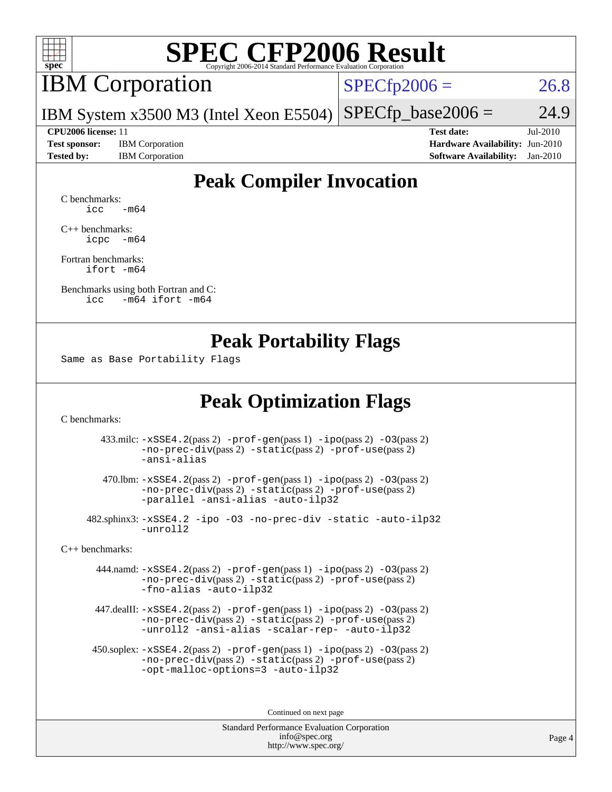

## IBM Corporation

 $SPECfp2006 = 26.8$  $SPECfp2006 = 26.8$ 

IBM System x3500 M3 (Intel Xeon E5504)  $SPECTp\_base2006 = 24.9$ 

**[Test sponsor:](http://www.spec.org/auto/cpu2006/Docs/result-fields.html#Testsponsor)** IBM Corporation **[Hardware Availability:](http://www.spec.org/auto/cpu2006/Docs/result-fields.html#HardwareAvailability)** Jun-2010

**[CPU2006 license:](http://www.spec.org/auto/cpu2006/Docs/result-fields.html#CPU2006license)** 11 **[Test date:](http://www.spec.org/auto/cpu2006/Docs/result-fields.html#Testdate)** Jul-2010 **[Tested by:](http://www.spec.org/auto/cpu2006/Docs/result-fields.html#Testedby)** IBM Corporation **[Software Availability:](http://www.spec.org/auto/cpu2006/Docs/result-fields.html#SoftwareAvailability)** Jan-2010

### **[Peak Compiler Invocation](http://www.spec.org/auto/cpu2006/Docs/result-fields.html#PeakCompilerInvocation)**

[C benchmarks](http://www.spec.org/auto/cpu2006/Docs/result-fields.html#Cbenchmarks):  $\text{icc}$   $-\text{m64}$ 

[C++ benchmarks:](http://www.spec.org/auto/cpu2006/Docs/result-fields.html#CXXbenchmarks) [icpc -m64](http://www.spec.org/cpu2006/results/res2010q3/cpu2006-20100719-12515.flags.html#user_CXXpeak_intel_icpc_64bit_bedb90c1146cab66620883ef4f41a67e)

[Fortran benchmarks](http://www.spec.org/auto/cpu2006/Docs/result-fields.html#Fortranbenchmarks): [ifort -m64](http://www.spec.org/cpu2006/results/res2010q3/cpu2006-20100719-12515.flags.html#user_FCpeak_intel_ifort_64bit_ee9d0fb25645d0210d97eb0527dcc06e)

[Benchmarks using both Fortran and C](http://www.spec.org/auto/cpu2006/Docs/result-fields.html#BenchmarksusingbothFortranandC): [icc -m64](http://www.spec.org/cpu2006/results/res2010q3/cpu2006-20100719-12515.flags.html#user_CC_FCpeak_intel_icc_64bit_0b7121f5ab7cfabee23d88897260401c) [ifort -m64](http://www.spec.org/cpu2006/results/res2010q3/cpu2006-20100719-12515.flags.html#user_CC_FCpeak_intel_ifort_64bit_ee9d0fb25645d0210d97eb0527dcc06e)

#### **[Peak Portability Flags](http://www.spec.org/auto/cpu2006/Docs/result-fields.html#PeakPortabilityFlags)**

Same as Base Portability Flags

### **[Peak Optimization Flags](http://www.spec.org/auto/cpu2006/Docs/result-fields.html#PeakOptimizationFlags)**

[C benchmarks](http://www.spec.org/auto/cpu2006/Docs/result-fields.html#Cbenchmarks):

 433.milc: [-xSSE4.2](http://www.spec.org/cpu2006/results/res2010q3/cpu2006-20100719-12515.flags.html#user_peakPASS2_CFLAGSPASS2_LDFLAGS433_milc_f-xSSE42_f91528193cf0b216347adb8b939d4107)(pass 2) [-prof-gen](http://www.spec.org/cpu2006/results/res2010q3/cpu2006-20100719-12515.flags.html#user_peakPASS1_CFLAGSPASS1_LDFLAGS433_milc_prof_gen_e43856698f6ca7b7e442dfd80e94a8fc)(pass 1) [-ipo](http://www.spec.org/cpu2006/results/res2010q3/cpu2006-20100719-12515.flags.html#user_peakPASS2_CFLAGSPASS2_LDFLAGS433_milc_f-ipo)(pass 2) [-O3](http://www.spec.org/cpu2006/results/res2010q3/cpu2006-20100719-12515.flags.html#user_peakPASS2_CFLAGSPASS2_LDFLAGS433_milc_f-O3)(pass 2) [-no-prec-div](http://www.spec.org/cpu2006/results/res2010q3/cpu2006-20100719-12515.flags.html#user_peakPASS2_CFLAGSPASS2_LDFLAGS433_milc_f-no-prec-div)(pass 2) [-static](http://www.spec.org/cpu2006/results/res2010q3/cpu2006-20100719-12515.flags.html#user_peakPASS2_CFLAGSPASS2_LDFLAGS433_milc_f-static)(pass 2) [-prof-use](http://www.spec.org/cpu2006/results/res2010q3/cpu2006-20100719-12515.flags.html#user_peakPASS2_CFLAGSPASS2_LDFLAGS433_milc_prof_use_bccf7792157ff70d64e32fe3e1250b55)(pass 2) [-ansi-alias](http://www.spec.org/cpu2006/results/res2010q3/cpu2006-20100719-12515.flags.html#user_peakOPTIMIZE433_milc_f-ansi-alias)

 470.lbm: [-xSSE4.2](http://www.spec.org/cpu2006/results/res2010q3/cpu2006-20100719-12515.flags.html#user_peakPASS2_CFLAGSPASS2_LDFLAGS470_lbm_f-xSSE42_f91528193cf0b216347adb8b939d4107)(pass 2) [-prof-gen](http://www.spec.org/cpu2006/results/res2010q3/cpu2006-20100719-12515.flags.html#user_peakPASS1_CFLAGSPASS1_LDFLAGS470_lbm_prof_gen_e43856698f6ca7b7e442dfd80e94a8fc)(pass 1) [-ipo](http://www.spec.org/cpu2006/results/res2010q3/cpu2006-20100719-12515.flags.html#user_peakPASS2_CFLAGSPASS2_LDFLAGS470_lbm_f-ipo)(pass 2) [-O3](http://www.spec.org/cpu2006/results/res2010q3/cpu2006-20100719-12515.flags.html#user_peakPASS2_CFLAGSPASS2_LDFLAGS470_lbm_f-O3)(pass 2) [-no-prec-div](http://www.spec.org/cpu2006/results/res2010q3/cpu2006-20100719-12515.flags.html#user_peakPASS2_CFLAGSPASS2_LDFLAGS470_lbm_f-no-prec-div)(pass 2) [-static](http://www.spec.org/cpu2006/results/res2010q3/cpu2006-20100719-12515.flags.html#user_peakPASS2_CFLAGSPASS2_LDFLAGS470_lbm_f-static)(pass 2) [-prof-use](http://www.spec.org/cpu2006/results/res2010q3/cpu2006-20100719-12515.flags.html#user_peakPASS2_CFLAGSPASS2_LDFLAGS470_lbm_prof_use_bccf7792157ff70d64e32fe3e1250b55)(pass 2) [-parallel](http://www.spec.org/cpu2006/results/res2010q3/cpu2006-20100719-12515.flags.html#user_peakOPTIMIZE470_lbm_f-parallel) [-ansi-alias](http://www.spec.org/cpu2006/results/res2010q3/cpu2006-20100719-12515.flags.html#user_peakOPTIMIZE470_lbm_f-ansi-alias) [-auto-ilp32](http://www.spec.org/cpu2006/results/res2010q3/cpu2006-20100719-12515.flags.html#user_peakCOPTIMIZE470_lbm_f-auto-ilp32)

 482.sphinx3: [-xSSE4.2](http://www.spec.org/cpu2006/results/res2010q3/cpu2006-20100719-12515.flags.html#user_peakOPTIMIZE482_sphinx3_f-xSSE42_f91528193cf0b216347adb8b939d4107) [-ipo](http://www.spec.org/cpu2006/results/res2010q3/cpu2006-20100719-12515.flags.html#user_peakOPTIMIZE482_sphinx3_f-ipo) [-O3](http://www.spec.org/cpu2006/results/res2010q3/cpu2006-20100719-12515.flags.html#user_peakOPTIMIZE482_sphinx3_f-O3) [-no-prec-div](http://www.spec.org/cpu2006/results/res2010q3/cpu2006-20100719-12515.flags.html#user_peakOPTIMIZE482_sphinx3_f-no-prec-div) [-static](http://www.spec.org/cpu2006/results/res2010q3/cpu2006-20100719-12515.flags.html#user_peakOPTIMIZE482_sphinx3_f-static) [-auto-ilp32](http://www.spec.org/cpu2006/results/res2010q3/cpu2006-20100719-12515.flags.html#user_peakCOPTIMIZE482_sphinx3_f-auto-ilp32) [-unroll2](http://www.spec.org/cpu2006/results/res2010q3/cpu2006-20100719-12515.flags.html#user_peakCOPTIMIZE482_sphinx3_f-unroll_784dae83bebfb236979b41d2422d7ec2)

[C++ benchmarks:](http://www.spec.org/auto/cpu2006/Docs/result-fields.html#CXXbenchmarks)

 444.namd: [-xSSE4.2](http://www.spec.org/cpu2006/results/res2010q3/cpu2006-20100719-12515.flags.html#user_peakPASS2_CXXFLAGSPASS2_LDFLAGS444_namd_f-xSSE42_f91528193cf0b216347adb8b939d4107)(pass 2) [-prof-gen](http://www.spec.org/cpu2006/results/res2010q3/cpu2006-20100719-12515.flags.html#user_peakPASS1_CXXFLAGSPASS1_LDFLAGS444_namd_prof_gen_e43856698f6ca7b7e442dfd80e94a8fc)(pass 1) [-ipo](http://www.spec.org/cpu2006/results/res2010q3/cpu2006-20100719-12515.flags.html#user_peakPASS2_CXXFLAGSPASS2_LDFLAGS444_namd_f-ipo)(pass 2) [-O3](http://www.spec.org/cpu2006/results/res2010q3/cpu2006-20100719-12515.flags.html#user_peakPASS2_CXXFLAGSPASS2_LDFLAGS444_namd_f-O3)(pass 2) [-no-prec-div](http://www.spec.org/cpu2006/results/res2010q3/cpu2006-20100719-12515.flags.html#user_peakPASS2_CXXFLAGSPASS2_LDFLAGS444_namd_f-no-prec-div)(pass 2) [-static](http://www.spec.org/cpu2006/results/res2010q3/cpu2006-20100719-12515.flags.html#user_peakPASS2_CXXFLAGSPASS2_LDFLAGS444_namd_f-static)(pass 2) [-prof-use](http://www.spec.org/cpu2006/results/res2010q3/cpu2006-20100719-12515.flags.html#user_peakPASS2_CXXFLAGSPASS2_LDFLAGS444_namd_prof_use_bccf7792157ff70d64e32fe3e1250b55)(pass 2) [-fno-alias](http://www.spec.org/cpu2006/results/res2010q3/cpu2006-20100719-12515.flags.html#user_peakOPTIMIZE444_namd_f-no-alias_694e77f6c5a51e658e82ccff53a9e63a) [-auto-ilp32](http://www.spec.org/cpu2006/results/res2010q3/cpu2006-20100719-12515.flags.html#user_peakCXXOPTIMIZE444_namd_f-auto-ilp32)

 447.dealII: [-xSSE4.2](http://www.spec.org/cpu2006/results/res2010q3/cpu2006-20100719-12515.flags.html#user_peakPASS2_CXXFLAGSPASS2_LDFLAGS447_dealII_f-xSSE42_f91528193cf0b216347adb8b939d4107)(pass 2) [-prof-gen](http://www.spec.org/cpu2006/results/res2010q3/cpu2006-20100719-12515.flags.html#user_peakPASS1_CXXFLAGSPASS1_LDFLAGS447_dealII_prof_gen_e43856698f6ca7b7e442dfd80e94a8fc)(pass 1) [-ipo](http://www.spec.org/cpu2006/results/res2010q3/cpu2006-20100719-12515.flags.html#user_peakPASS2_CXXFLAGSPASS2_LDFLAGS447_dealII_f-ipo)(pass 2) [-O3](http://www.spec.org/cpu2006/results/res2010q3/cpu2006-20100719-12515.flags.html#user_peakPASS2_CXXFLAGSPASS2_LDFLAGS447_dealII_f-O3)(pass 2) [-no-prec-div](http://www.spec.org/cpu2006/results/res2010q3/cpu2006-20100719-12515.flags.html#user_peakPASS2_CXXFLAGSPASS2_LDFLAGS447_dealII_f-no-prec-div)(pass 2) [-static](http://www.spec.org/cpu2006/results/res2010q3/cpu2006-20100719-12515.flags.html#user_peakPASS2_CXXFLAGSPASS2_LDFLAGS447_dealII_f-static)(pass 2) [-prof-use](http://www.spec.org/cpu2006/results/res2010q3/cpu2006-20100719-12515.flags.html#user_peakPASS2_CXXFLAGSPASS2_LDFLAGS447_dealII_prof_use_bccf7792157ff70d64e32fe3e1250b55)(pass 2) [-unroll2](http://www.spec.org/cpu2006/results/res2010q3/cpu2006-20100719-12515.flags.html#user_peakOPTIMIZE447_dealII_f-unroll_784dae83bebfb236979b41d2422d7ec2) [-ansi-alias](http://www.spec.org/cpu2006/results/res2010q3/cpu2006-20100719-12515.flags.html#user_peakOPTIMIZE447_dealII_f-ansi-alias) [-scalar-rep-](http://www.spec.org/cpu2006/results/res2010q3/cpu2006-20100719-12515.flags.html#user_peakOPTIMIZE447_dealII_f-disablescalarrep_abbcad04450fb118e4809c81d83c8a1d) [-auto-ilp32](http://www.spec.org/cpu2006/results/res2010q3/cpu2006-20100719-12515.flags.html#user_peakCXXOPTIMIZE447_dealII_f-auto-ilp32)

 450.soplex: [-xSSE4.2](http://www.spec.org/cpu2006/results/res2010q3/cpu2006-20100719-12515.flags.html#user_peakPASS2_CXXFLAGSPASS2_LDFLAGS450_soplex_f-xSSE42_f91528193cf0b216347adb8b939d4107)(pass 2) [-prof-gen](http://www.spec.org/cpu2006/results/res2010q3/cpu2006-20100719-12515.flags.html#user_peakPASS1_CXXFLAGSPASS1_LDFLAGS450_soplex_prof_gen_e43856698f6ca7b7e442dfd80e94a8fc)(pass 1) [-ipo](http://www.spec.org/cpu2006/results/res2010q3/cpu2006-20100719-12515.flags.html#user_peakPASS2_CXXFLAGSPASS2_LDFLAGS450_soplex_f-ipo)(pass 2) [-O3](http://www.spec.org/cpu2006/results/res2010q3/cpu2006-20100719-12515.flags.html#user_peakPASS2_CXXFLAGSPASS2_LDFLAGS450_soplex_f-O3)(pass 2) [-no-prec-div](http://www.spec.org/cpu2006/results/res2010q3/cpu2006-20100719-12515.flags.html#user_peakPASS2_CXXFLAGSPASS2_LDFLAGS450_soplex_f-no-prec-div)(pass 2) [-static](http://www.spec.org/cpu2006/results/res2010q3/cpu2006-20100719-12515.flags.html#user_peakPASS2_CXXFLAGSPASS2_LDFLAGS450_soplex_f-static)(pass 2) [-prof-use](http://www.spec.org/cpu2006/results/res2010q3/cpu2006-20100719-12515.flags.html#user_peakPASS2_CXXFLAGSPASS2_LDFLAGS450_soplex_prof_use_bccf7792157ff70d64e32fe3e1250b55)(pass 2) [-opt-malloc-options=3](http://www.spec.org/cpu2006/results/res2010q3/cpu2006-20100719-12515.flags.html#user_peakOPTIMIZE450_soplex_f-opt-malloc-options_13ab9b803cf986b4ee62f0a5998c2238) [-auto-ilp32](http://www.spec.org/cpu2006/results/res2010q3/cpu2006-20100719-12515.flags.html#user_peakCXXOPTIMIZE450_soplex_f-auto-ilp32)

Continued on next page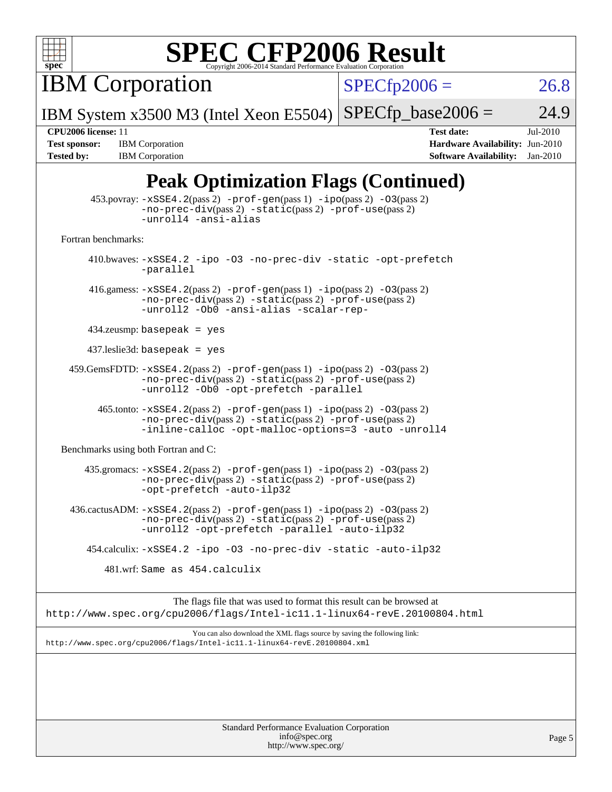

**IBM Corporation** 

 $SPECfp2006 = 26.8$  $SPECfp2006 = 26.8$ 

IBM System x3500 M3 (Intel Xeon E5504)  $SPECTp\_base2006 = 24.9$ 

**[Tested by:](http://www.spec.org/auto/cpu2006/Docs/result-fields.html#Testedby)** IBM Corporation **[Software Availability:](http://www.spec.org/auto/cpu2006/Docs/result-fields.html#SoftwareAvailability)** Jan-2010

**[CPU2006 license:](http://www.spec.org/auto/cpu2006/Docs/result-fields.html#CPU2006license)** 11 **[Test date:](http://www.spec.org/auto/cpu2006/Docs/result-fields.html#Testdate)** Jul-2010 **[Test sponsor:](http://www.spec.org/auto/cpu2006/Docs/result-fields.html#Testsponsor)** IBM Corporation **[Hardware Availability:](http://www.spec.org/auto/cpu2006/Docs/result-fields.html#HardwareAvailability)** Jun-2010

## **[Peak Optimization Flags \(Continued\)](http://www.spec.org/auto/cpu2006/Docs/result-fields.html#PeakOptimizationFlags)**

| $\mathbf{B}^{\prime}$ ( $\sim$ $\sim$ $\sim$ $\sim$ $\sim$ $\sim$                                                                                                                       |  |  |  |  |
|-----------------------------------------------------------------------------------------------------------------------------------------------------------------------------------------|--|--|--|--|
| $453.$ povray: $-xSSE4.2(pass2)$ -prof-gen $(pass1)$ -ipo $(pass2)$ -03 $(pass2)$<br>-no-prec-div(pass 2) -static(pass 2) -prof-use(pass 2)<br>-unroll4 -ansi-alias                     |  |  |  |  |
| Fortran benchmarks:                                                                                                                                                                     |  |  |  |  |
| 410.bwaves: -xSSE4.2 -ipo -03 -no-prec-div -static -opt-prefetch<br>-parallel                                                                                                           |  |  |  |  |
| 416.gamess: $-xSSE4$ . 2(pass 2) $-prof-gen(pass 1) -ipo(pass 2) -03(pass 2)$<br>-no-prec-div(pass 2) -static(pass 2) -prof-use(pass 2)<br>-unroll2 -Ob0 -ansi-alias -scalar-rep-       |  |  |  |  |
| $434$ .zeusmp: basepeak = yes                                                                                                                                                           |  |  |  |  |
| $437$ .leslie3d: basepeak = yes                                                                                                                                                         |  |  |  |  |
| $459.GemsFDTD: -xSSE4.2(pass 2) -prof-gen(pass 1) -ipo(pass 2) -03(pass 2)$<br>-no-prec-div(pass 2) -static(pass 2) -prof-use(pass 2)<br>-unroll2 -Ob0 -opt-prefetch -parallel          |  |  |  |  |
| 465.tonto: -xSSE4.2(pass 2) -prof-gen(pass 1) -ipo(pass 2) -03(pass 2)<br>-no-prec-div(pass 2) -static(pass 2) -prof-use(pass 2)<br>-inline-calloc -opt-malloc-options=3 -auto -unroll4 |  |  |  |  |
| Benchmarks using both Fortran and C:                                                                                                                                                    |  |  |  |  |
| 435.gromacs: -xSSE4.2(pass 2) -prof-gen(pass 1) -ipo(pass 2) -03(pass 2)<br>-no-prec-div(pass 2) -static(pass 2) -prof-use(pass 2)<br>-opt-prefetch -auto-ilp32                         |  |  |  |  |
| 436.cactusADM: -xSSE4.2(pass 2) -prof-gen(pass 1) -ipo(pass 2) -03(pass 2)<br>-no-prec-div(pass 2) -static(pass 2) -prof-use(pass 2)<br>-unroll2 -opt-prefetch -parallel -auto-ilp32    |  |  |  |  |
| 454.calculix: -xSSE4.2 -ipo -03 -no-prec-div -static -auto-ilp32                                                                                                                        |  |  |  |  |
| 481.wrf: Same as 454.calculix                                                                                                                                                           |  |  |  |  |
| The flags file that was used to format this result can be browsed at<br>http://www.spec.org/cpu2006/flags/Intel-ic11.1-linux64-revE.20100804.html                                       |  |  |  |  |
| You can also download the XML flags source by saving the following link:<br>http://www.spec.org/cpu2006/flags/Intel-icl1.1-linux64-revE.20100804.xml                                    |  |  |  |  |
|                                                                                                                                                                                         |  |  |  |  |
|                                                                                                                                                                                         |  |  |  |  |
|                                                                                                                                                                                         |  |  |  |  |
| Standard Performance Evaluation Corporation                                                                                                                                             |  |  |  |  |